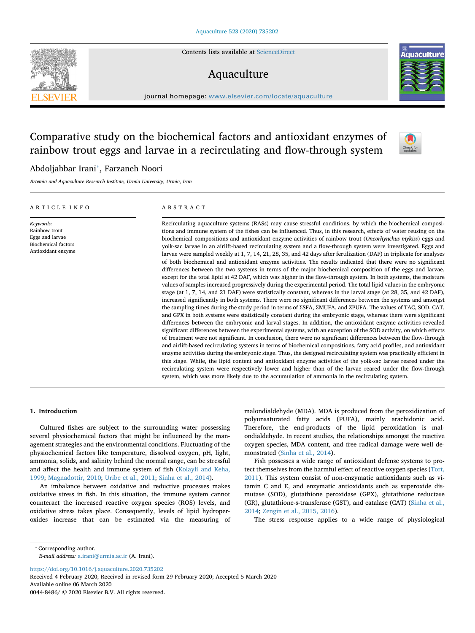Contents lists available at [ScienceDirect](http://www.sciencedirect.com/science/journal/00448486)

# Aquaculture

journal homepage: [www.elsevier.com/locate/aquaculture](https://www.elsevier.com/locate/aquaculture)

# Comparative study on the biochemical factors and antioxidant enzymes of rainbow trout eggs and larvae in a recirculating and flow-through system

# Abdoljabbar Irani[⁎](#page-0-0) , Farzaneh Noori

*Artemia and Aquaculture Research Institute, Urmia University, Urmia, Iran*

#### ARTICLE INFO *Keywords:* Rainbow trout Eggs and larvae Biochemical factors Antioxidant enzyme ABSTRACT Recirculating aquaculture systems (RASs) may cause stressful conditions, by which the biochemical compositions and immune system of the fishes can be influenced. Thus, in this research, effects of water reusing on the biochemical compositions and antioxidant enzyme activities of rainbow trout (*Oncorhynchus mykiss*) eggs and yolk-sac larvae in an airlift-based recirculating system and a flow-through system were investigated. Eggs and larvae were sampled weekly at 1, 7, 14, 21, 28, 35, and 42 days after fertilization (DAF) in triplicate for analyses of both biochemical and antioxidant enzyme activities. The results indicated that there were no significant differences between the two systems in terms of the major biochemical composition of the eggs and larvae, except for the total lipid at 42 DAF, which was higher in the flow-through system. In both systems, the moisture values of samples increased progressively during the experimental period. The total lipid values in the embryonic stage (at 1, 7, 14, and 21 DAF) were statistically constant, whereas in the larval stage (at 28, 35, and 42 DAF), increased significantly in both systems. There were no significant differences between the systems and amongst the sampling times during the study period in terms of ∑SFA, ∑MUFA, and ∑PUFA. The values of TAC, SOD, CAT, and GPX in both systems were statistically constant during the embryonic stage, whereas there were significant differences between the embryonic and larval stages. In addition, the antioxidant enzyme activities revealed significant differences between the experimental systems, with an exception of the SOD activity, on which effects of treatment were not significant. In conclusion, there were no significant differences between the flow-through and airlift-based recirculating systems in terms of biochemical compositions, fatty acid profiles, and antioxidant enzyme activities during the embryonic stage. Thus, the designed recirculating system was practically efficient in this stage. While, the lipid content and antioxidant enzyme activities of the yolk-sac larvae reared under the recirculating system were respectively lower and higher than of the larvae reared under the flow-through system, which was more likely due to the accumulation of ammonia in the recirculating system.

#### **1. Introduction**

Cultured fishes are subject to the surrounding water possessing several physiochemical factors that might be influenced by the management strategies and the environmental conditions. Fluctuating of the physiochemical factors like temperature, dissolved oxygen, pH, light, ammonia, solids, and salinity behind the normal range, can be stressful and affect the health and immune system of fish ([Kolayli and Keha,](#page-6-0) [1999;](#page-6-0) [Magnadottir, 2010;](#page-6-1) [Uribe et al., 2011;](#page-6-2) [Sinha et al., 2014\)](#page-6-3).

An imbalance between oxidative and reductive processes makes oxidative stress in fish. In this situation, the immune system cannot counteract the increased reactive oxygen species (ROS) levels, and oxidative stress takes place. Consequently, levels of lipid hydroperoxides increase that can be estimated via the measuring of malondialdehyde (MDA). MDA is produced from the peroxidization of polyunsaturated fatty acids (PUFA), mainly arachidonic acid. Therefore, the end-products of the lipid peroxidation is malondialdehyde. In recent studies, the relationships amongst the reactive oxygen species, MDA content, and free radical damage were well demonstrated [\(Sinha et al., 2014](#page-6-3)).

Fish possesses a wide range of antioxidant defense systems to protect themselves from the harmful effect of reactive oxygen species ([Tort,](#page-6-4) [2011\)](#page-6-4). This system consist of non-enzymatic antioxidants such as vitamin C and E, and enzymatic antioxidants such as superoxide dismutase (SOD), glutathione peroxidase (GPX), glutathione reductase (GR), glutathione-s-transferase (GST), and catalase (CAT) [\(Sinha et al.,](#page-6-3) [2014;](#page-6-3) [Zengin et al., 2015, 2016\)](#page-6-5).

The stress response applies to a wide range of physiological

<span id="page-0-0"></span>⁎ Corresponding author.

*E-mail address:* [a.irani@urmia.ac.ir](mailto:a.irani@urmia.ac.ir) (A. Irani).

<https://doi.org/10.1016/j.aquaculture.2020.735202>

Received 4 February 2020; Received in revised form 29 February 2020; Accepted 5 March 2020 Available online 06 March 2020

0044-8486/ © 2020 Elsevier B.V. All rights reserved.





Check for<br>updates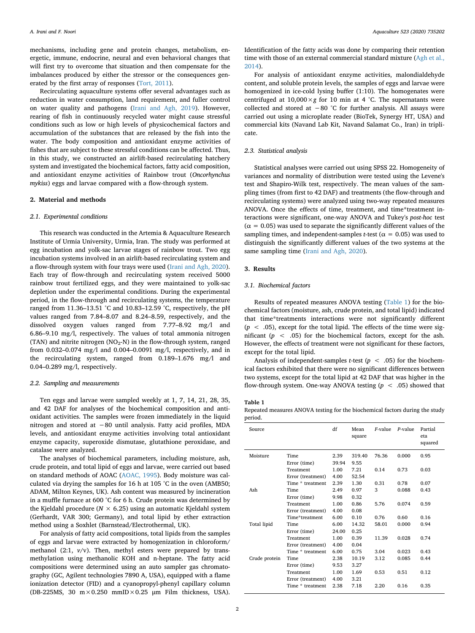mechanisms, including gene and protein changes, metabolism, energetic, immune, endocrine, neural and even behavioral changes that will first try to overcome that situation and then compensate for the imbalances produced by either the stressor or the consequences generated by the first array of responses ([Tort, 2011](#page-6-4)).

Recirculating aquaculture systems offer several advantages such as reduction in water consumption, land requirement, and fuller control on water quality and pathogens ([Irani and Agh, 2019\)](#page-6-6). However, rearing of fish in continuously recycled water might cause stressful conditions such as low or high levels of physicochemical factors and accumulation of the substances that are released by the fish into the water. The body composition and antioxidant enzyme activities of fishes that are subject to these stressful conditions can be affected. Thus, in this study, we constructed an airlift-based recirculating hatchery system and investigated the biochemical factors, fatty acid composition, and antioxidant enzyme activities of Rainbow trout (*Oncorhynchus mykiss*) eggs and larvae compared with a flow-through system.

#### **2. Material and methods**

#### *2.1. Experimental conditions*

This research was conducted in the Artemia & Aquaculture Research Institute of Urmia University, Urmia, Iran. The study was performed at egg incubation and yolk-sac larvae stages of rainbow trout. Two egg incubation systems involved in an airlift-based recirculating system and a flow-through system with four trays were used ([Irani and Agh, 2020](#page-6-7)). Each tray of flow-through and recirculating system received 5000 rainbow trout fertilized eggs, and they were maintained to yolk-sac depletion under the experimental conditions. During the experimental period, in the flow-through and recirculating systems, the temperature ranged from 11.36–13.51 °C and 10.83–12.59 °C, respectively, the pH values ranged from 7.84–8.07 and 8.24–8.59, respectively, and the dissolved oxygen values ranged from 7.77–8.92 mg/l and 6.86–9.10 mg/l, respectively. The values of total ammonia nitrogen (TAN) and nitrite nitrogen ( $NO<sub>2</sub>-N$ ) in the flow-through system, ranged from 0.032–0.074 mg/l and 0.004–0.0091 mg/l, respectively, and in the recirculating system, ranged from 0.189–1.676 mg/l and 0.04–0.289 mg/l, respectively.

#### *2.2. Sampling and measurements*

Ten eggs and larvae were sampled weekly at 1, 7, 14, 21, 28, 35, and 42 DAF for analyses of the biochemical composition and antioxidant activities. The samples were frozen immediately in the liquid nitrogen and stored at −80 until analysis. Fatty acid profiles, MDA levels, and antioxidant enzyme activities involving total antioxidant enzyme capacity, superoxide dismutase, glutathione peroxidase, and catalase were analyzed.

The analyses of biochemical parameters, including moisture, ash, crude protein, and total lipid of eggs and larvae, were carried out based on standard methods of AOAC ([AOAC, 1995](#page-6-8)). Body moisture was calculated via drying the samples for 16 h at 105 °C in the oven (AMB50; ADAM, Milton Keynes, UK). Ash content was measured by incineration in a muffle furnace at 600 °C for 6 h. Crude protein was determined by the Kjeldahl procedure ( $N \times 6.25$ ) using an automatic Kjeldahl system (Gerhardt, VAR 300; Germany), and total lipid by ether extraction method using a Soxhlet (Barnstead/Electrothermal, UK).

For analysis of fatty acid compositions, total lipids from the samples of eggs and larvae were extracted by homogenization in chloroform/ methanol (2:1,  $v/v$ ). Then, methyl esters were prepared by transmethylation using methanolic KOH and n-heptane. The fatty acid compositions were determined using an auto sampler gas chromatography (GC, Agilent technologies 7890 A, USA), equipped with a flame ionization detector (FID) and a cyanopropyl-phenyl capillary column (DB-225MS, 30  $m \times 0.250$  mmID $\times 0.25$  µm Film thickness, USA).

Identification of the fatty acids was done by comparing their retention time with those of an external commercial standard mixture ([Agh et al.,](#page-6-9) [2014\)](#page-6-9).

For analysis of antioxidant enzyme activities, malondialdehyde content, and soluble protein levels, the samples of eggs and larvae were homogenized in ice-cold lysing buffer (1:10). The homogenates were centrifuged at  $10,000 \times g$  for 10 min at 4 °C. The supernatants were collected and stored at −80 °C for further analysis. All assays were carried out using a microplate reader (BioTek, Synergy HT, USA) and commercial kits (Navand Lab Kit, Navand Salamat Co., Iran) in triplicate.

## *2.3. Statistical analysis*

Statistical analyses were carried out using SPSS 22. Homogeneity of variances and normality of distribution were tested using the Levene's test and Shapiro-Wilk test, respectively. The mean values of the sampling times (from first to 42 DAF) and treatments (the flow-through and recirculating systems) were analyzed using two-way repeated measures ANOVA. Once the effects of time, treatment, and time\*treatment interactions were significant, one-way ANOVA and Tukey's *post-hoc* test  $(\alpha = 0.05)$  was used to separate the significantly different values of the sampling times, and independent-samples *t*-test ( $\alpha$  = 0.05) was used to distinguish the significantly different values of the two systems at the same sampling time [\(Irani and Agh, 2020](#page-6-7)).

### **3. Results**

## *3.1. Biochemical factors*

Results of repeated measures ANOVA testing ([Table 1\)](#page-1-0) for the biochemical factors (moisture, ash, crude protein, and total lipid) indicated that time\*treatments interactions were not significantly different  $(p \lt 0.05)$ , except for the total lipid. The effects of the time were significant  $(p \lt 0.05)$  for the biochemical factors, except for the ash. However, the effects of treatment were not significant for these factors, except for the total lipid.

Analysis of independent-samples *t*-test ( $p < .05$ ) for the biochemical factors exhibited that there were no significant differences between two systems, except for the total lipid at 42 DAF that was higher in the flow-through system. One-way ANOVA testing (*p* < .05) showed that

## <span id="page-1-0"></span>**Table 1**

Repeated measures ANOVA testing for the biochemical factors during the study period.

| <b>Time</b><br>Moisture<br>2.39<br>76.36<br>0.000<br>0.95<br>319.40<br>9.55<br>Error (time)<br>39.94<br>1.00<br>7.21<br>Treatment<br>0.14<br>0.73<br>0.03<br>Error (treatment)<br>4.00<br>52.54<br>1.30<br>Time * treatment<br>2.39<br>0.31<br>0.78<br>0.07<br>3<br>Ash<br>2.49<br>0.97<br>0.43<br><b>Time</b><br>0.088<br>0.32<br>9.98<br>Error (time)<br>0.86<br>Treatment<br>1.00<br>5.76<br>0.074<br>0.59<br>4.00<br>0.08<br>Error (treatment)<br>Time*treatment<br>0.10<br>0.76<br>0.60<br>0.16<br>6.00<br>Total lipid<br>6.00<br>14.32<br><b>Time</b><br>58.01<br>0.000<br>0.94<br>0.25<br>24.00<br>Error (time)<br>Treatment<br>1.00<br>0.39<br>11.39<br>0.028<br>0.74<br>0.04<br>Error (treatment)<br>4.00<br>Time * treatment<br>6.00<br>0.75<br>3.04<br>0.023<br>0.43<br>Crude protein<br>Time<br>2.38<br>10.19<br>3.12<br>0.085<br>0.44<br>9.53<br>3.27<br>Error (time)<br>1.69<br>0.51<br>0.12<br>Treatment<br>1.00<br>0.53 | Source |                   | df   | Mean<br>square | $F$ -value | P-value | Partial<br>eta<br>squared |
|-----------------------------------------------------------------------------------------------------------------------------------------------------------------------------------------------------------------------------------------------------------------------------------------------------------------------------------------------------------------------------------------------------------------------------------------------------------------------------------------------------------------------------------------------------------------------------------------------------------------------------------------------------------------------------------------------------------------------------------------------------------------------------------------------------------------------------------------------------------------------------------------------------------------------------------------|--------|-------------------|------|----------------|------------|---------|---------------------------|
|                                                                                                                                                                                                                                                                                                                                                                                                                                                                                                                                                                                                                                                                                                                                                                                                                                                                                                                                         |        |                   |      |                |            |         |                           |
|                                                                                                                                                                                                                                                                                                                                                                                                                                                                                                                                                                                                                                                                                                                                                                                                                                                                                                                                         |        |                   |      |                |            |         |                           |
|                                                                                                                                                                                                                                                                                                                                                                                                                                                                                                                                                                                                                                                                                                                                                                                                                                                                                                                                         |        |                   |      |                |            |         |                           |
|                                                                                                                                                                                                                                                                                                                                                                                                                                                                                                                                                                                                                                                                                                                                                                                                                                                                                                                                         |        |                   |      |                |            |         |                           |
|                                                                                                                                                                                                                                                                                                                                                                                                                                                                                                                                                                                                                                                                                                                                                                                                                                                                                                                                         |        |                   |      |                |            |         |                           |
|                                                                                                                                                                                                                                                                                                                                                                                                                                                                                                                                                                                                                                                                                                                                                                                                                                                                                                                                         |        |                   |      |                |            |         |                           |
|                                                                                                                                                                                                                                                                                                                                                                                                                                                                                                                                                                                                                                                                                                                                                                                                                                                                                                                                         |        |                   |      |                |            |         |                           |
|                                                                                                                                                                                                                                                                                                                                                                                                                                                                                                                                                                                                                                                                                                                                                                                                                                                                                                                                         |        |                   |      |                |            |         |                           |
|                                                                                                                                                                                                                                                                                                                                                                                                                                                                                                                                                                                                                                                                                                                                                                                                                                                                                                                                         |        |                   |      |                |            |         |                           |
|                                                                                                                                                                                                                                                                                                                                                                                                                                                                                                                                                                                                                                                                                                                                                                                                                                                                                                                                         |        |                   |      |                |            |         |                           |
|                                                                                                                                                                                                                                                                                                                                                                                                                                                                                                                                                                                                                                                                                                                                                                                                                                                                                                                                         |        |                   |      |                |            |         |                           |
|                                                                                                                                                                                                                                                                                                                                                                                                                                                                                                                                                                                                                                                                                                                                                                                                                                                                                                                                         |        |                   |      |                |            |         |                           |
|                                                                                                                                                                                                                                                                                                                                                                                                                                                                                                                                                                                                                                                                                                                                                                                                                                                                                                                                         |        |                   |      |                |            |         |                           |
|                                                                                                                                                                                                                                                                                                                                                                                                                                                                                                                                                                                                                                                                                                                                                                                                                                                                                                                                         |        |                   |      |                |            |         |                           |
|                                                                                                                                                                                                                                                                                                                                                                                                                                                                                                                                                                                                                                                                                                                                                                                                                                                                                                                                         |        |                   |      |                |            |         |                           |
|                                                                                                                                                                                                                                                                                                                                                                                                                                                                                                                                                                                                                                                                                                                                                                                                                                                                                                                                         |        |                   |      |                |            |         |                           |
|                                                                                                                                                                                                                                                                                                                                                                                                                                                                                                                                                                                                                                                                                                                                                                                                                                                                                                                                         |        |                   |      |                |            |         |                           |
|                                                                                                                                                                                                                                                                                                                                                                                                                                                                                                                                                                                                                                                                                                                                                                                                                                                                                                                                         |        |                   |      |                |            |         |                           |
|                                                                                                                                                                                                                                                                                                                                                                                                                                                                                                                                                                                                                                                                                                                                                                                                                                                                                                                                         |        | Error (treatment) | 4.00 | 3.21           |            |         |                           |
| 0.16<br>Time * treatment<br>7.18<br>2.20<br>0.35<br>2.38                                                                                                                                                                                                                                                                                                                                                                                                                                                                                                                                                                                                                                                                                                                                                                                                                                                                                |        |                   |      |                |            |         |                           |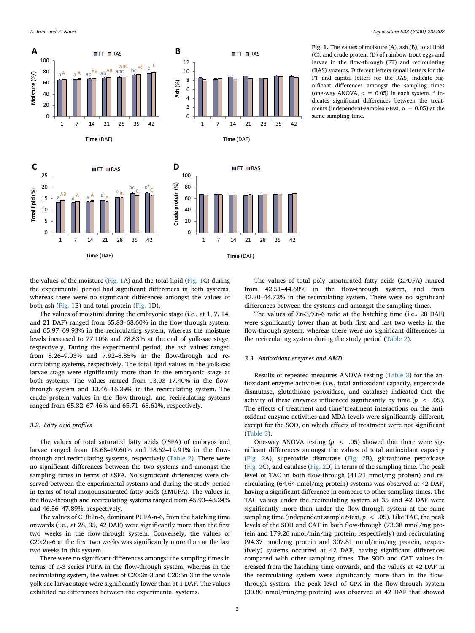<span id="page-2-0"></span>

**Fig. 1.** The values of moisture (A), ash (B), total lipid (C), and crude protein (D) of rainbow trout eggs and larvae in the flow-through (FT) and recirculating (RAS) systems. Different letters (small letters for the FT and capital letters for the RAS) indicate significant differences amongst the sampling times (one-way ANOVA,  $\alpha = 0.05$ ) in each system. \* indicates significant differences between the treatments (independent-samples *t*-test,  $\alpha = 0.05$ ) at the same sampling time.

the values of the moisture [\(Fig. 1](#page-2-0)A) and the total lipid ([Fig. 1](#page-2-0)C) during the experimental period had significant differences in both systems, whereas there were no significant differences amongst the values of both ash ([Fig. 1](#page-2-0)B) and total protein [\(Fig. 1](#page-2-0)D).

The values of moisture during the embryonic stage (i.e., at 1, 7, 14, and 21 DAF) ranged from 65.83–68.60% in the flow-through system, and 65.97–69.93% in the recirculating system, whereas the moisture levels increased to 77.10% and 78.83% at the end of yolk-sac stage, respectively. During the experimental period, the ash values ranged from 8.26–9.03% and 7.92–8.85% in the flow-through and recirculating systems, respectively. The total lipid values in the yolk-sac larvae stage were significantly more than in the embryonic stage at both systems. The values ranged from 13.03–17.40% in the flowthrough system and 13.46–16.39% in the recirculating system. The crude protein values in the flow-through and recirculating systems ranged from 65.32–67.46% and 65.71–68.61%, respectively.

## *3.2. Fatty acid profiles*

The values of total saturated fatty acids (∑SFA) of embryos and larvae ranged from 18.68–19.60% and 18.62–19.91% in the flowthrough and recirculating systems, respectively ([Table 2\)](#page-3-0). There were no significant differences between the two systems and amongst the sampling times in terms of ∑SFA. No significant differences were observed between the experimental systems and during the study period in terms of total monounsaturated fatty acids (∑MUFA). The values in the flow-through and recirculating systems ranged from 45.93–48.24% and 46.56–47.89%, respectively.

The values of C18:2n-6, dominant PUFA-n-6, from the hatching time onwards (i.e., at 28, 35, 42 DAF) were significantly more than the first two weeks in the flow-through system. Conversely, the values of C20:2n-6 at the first two weeks was significantly more than at the last two weeks in this system.

There were no significant differences amongst the sampling times in terms of n-3 series PUFA in the flow-through system, whereas in the recirculating system, the values of C20:3n-3 and C20:5n-3 in the whole yolk-sac larvae stage were significantly lower than at 1 DAF. The values exhibited no differences between the experimental systems.

The values of total poly unsaturated fatty acids (∑PUFA) ranged from 42.51–44.68% in the flow-through system, and from 42.30–44.72% in the recirculating system. There were no significant differences between the systems and amongst the sampling times.

The values of ∑n-3/∑n-6 ratio at the hatching time (i.e., 28 DAF) were significantly lower than at both first and last two weeks in the flow-through system, whereas there were no significant differences in the recirculating system during the study period [\(Table 2](#page-3-0)).

### *3.3. Antioxidant enzymes and AMD*

Results of repeated measures ANOVA testing [\(Table 3](#page-4-0)) for the antioxidant enzyme activities (i.e., total antioxidant capacity, superoxide dismutase, glutathione peroxidase, and catalase) indicated that the activity of these enzymes influenced significantly by time  $(p < .05)$ . The effects of treatment and time\*treatment interactions on the antioxidant enzyme activities and MDA levels were significantly different, except for the SOD, on which effects of treatment were not significant ([Table 3](#page-4-0)).

One-way ANOVA testing  $(p \lt .05)$  showed that there were significant differences amongst the values of total antioxidant capacity ([Fig. 2A](#page-5-0)), superoxide dismutase ([Fig. 2B](#page-5-0)), glutathione peroxidase ([Fig. 2](#page-5-0)C), and catalase [\(Fig. 2D](#page-5-0)) in terms of the sampling time. The peak level of TAC in both flow-through (41.71 nmol/mg protein) and recirculating (64.64 nmol/mg protein) systems was observed at 42 DAF, having a significant difference in compare to other sampling times. The TAC values under the recirculating system at 35 and 42 DAF were significantly more than under the flow-through system at the same sampling time (independent sample *t*-test,  $p < .05$ ). Like TAC, the peak levels of the SOD and CAT in both flow-through (73.38 nmol/mg protein and 179.26 nmol/min/mg protein, respectively) and recirculating (94.37 nmol/mg protein and 307.81 nmol/min/mg protein, respectively) systems occurred at 42 DAF, having significant differences compared with other sampling times. The SOD and CAT values increased from the hatching time onwards, and the values at 42 DAF in the recirculating system were significantly more than in the flowthrough system. The peak level of GPX in the flow-through system (30.80 nmol/min/mg protein) was observed at 42 DAF that showed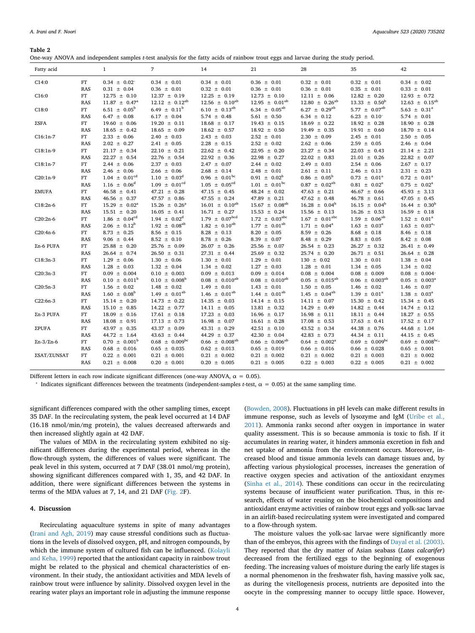#### <span id="page-3-0"></span>**Table 2**

| Fatty acid                 |             | $\mathbf{1}$                 | 7                            | 14                          | 21                            | 28                           | 35                            | 42                      |
|----------------------------|-------------|------------------------------|------------------------------|-----------------------------|-------------------------------|------------------------------|-------------------------------|-------------------------|
| C14:0                      | FT          | $0.34 \pm 0.02^*$            | $0.34 \pm 0.01$              | $0.34 \pm 0.01$             | $0.36 \pm 0.01$               | $0.32 \pm 0.01$              | $0.32 \pm 0.01$               | $0.34 \pm 0.02$         |
|                            | <b>RAS</b>  | $0.31 \pm 0.04$              | $0.36 \pm 0.01$              | $0.32 \pm 0.01$             | $0.36 \pm 0.01$               | $0.36 \pm 0.01$              | $0.35 \pm 0.01$               | $0.33 \pm 0.01$         |
| C16:0                      | FT          | $12.75 \pm 0.10$             | $12.37 \pm 0.19$             | $12.25 \pm 0.19$            | $12.73 \pm 0.10$              | $12.11 \pm 0.06$             | $12.82 \pm 0.20$              | $12.93 \pm 0.72$        |
|                            | <b>RAS</b>  | $11.87 \pm 0.47^{\circ}$     | $12.12 \pm 0.12^{ab}$        | $12.56 \pm 0.10^{ab}$       | $12.95 \pm 0.01^{ab}$         | $12.80 \pm 0.26^{ab}$        | $13.33 \pm 0.50^{\rm b}$      | $12.63 \pm 0.15^{ab}$   |
| C18:0                      | FT          | 6.51 $\pm$ 0.05 <sup>b</sup> | 6.49 $\pm$ 0.11 <sup>b</sup> | $6.10 \pm 0.13^{ab}$        | 6.34 $\pm$ 0.05 <sup>ab</sup> | $6.27 \pm 0.29^{ab}$         | 5.77 $\pm$ 0.07 <sup>ab</sup> | $5.63 \pm 0.31^a$       |
|                            | <b>RAS</b>  | $6.47 \pm 0.08$              | $6.17 \pm 0.04$              | $5.74 \pm 0.48$             | $5.61 \pm 0.50$               | $6.34 \pm 0.12$              | $6.23 \pm 0.10^*$             | $5.74 \pm 0.01$         |
| ΣSFA                       | FT          | $19.60 \pm 0.06$             | $19.20 \pm 0.11$             | $18.68 \pm 0.17$            | $19.43 \pm 0.15$              | $18.69 \pm 0.22$             | $18.92 \pm 0.28$              | $18.90 \pm 0.28$        |
|                            | <b>RAS</b>  | $18.65 \pm 0.42$             | $18.65 \pm 0.09$             | $18.62 \pm 0.57$            | $18.92 \pm 0.50$              | $19.49 \pm 0.35$             | $19.91 \pm 0.60$              | $18.70 \pm 0.14$        |
| $C16:1n-7$                 | FT          | $2.33 \pm 0.06$              | $2.40 \pm 0.03$              | $2.43 \pm 0.03$             | $2.52 \pm 0.01$               | $2.30 \pm 0.09$              | $2.45 \pm 0.01$               | $2.50 \pm 0.05$         |
|                            | <b>RAS</b>  | $2.02 \pm 0.27$              | $2.41 \pm 0.05$              | $2.28 \pm 0.15$             | $2.52 \pm 0.02$               | $2.62 \pm 0.06$              | $2.59 \pm 0.05$               | $2.46 \pm 0.04$         |
| $C18:1n-9$                 | FT          | $21.17 \pm 0.34$             | $22.10 \pm 0.21$             | $22.62 \pm 0.42$            | $22.95 \pm 0.20$              | $23.27 \pm 0.34$             | $22.03 \pm 0.43$              | $21.14 \pm 2.21$        |
|                            | <b>RAS</b>  | $22.27 \pm 0.54$             | $22.76 \pm 0.54$             | $22.92 \pm 0.36$            | $22.98 \pm 0.27$              | $22.02 \pm 0.83$             | $21.01 \pm 0.26$              | $22.82 \pm 0.07$        |
| $C18:1n-7$                 | FT          | $2.44 \pm 0.06$              | $2.37 \pm 0.03$              | $2.47 \pm 0.07$             | $2.44 \pm 0.02$               | $2.49 \pm 0.03$              | $2.54 \pm 0.06$               | $2.67 \pm 0.17$         |
|                            | <b>RAS</b>  | $2.46 \pm 0.06$              | $2.66 \pm 0.06$              | $2.68 \pm 0.14$             | $2.48 \pm 0.01$               | $2.61 \pm 0.11$              | $2.46 \pm 0.13$               | $2.31 \pm 0.23$         |
| $C20:1n-9$                 | FT          | $1.04 \pm 0.01^{\text{cd}}$  | $1.10 \pm 0.03^d$            | $0.96 \pm 0.01^{\rm bc}$    | $0.91 \pm 0.02^b$             | $0.86 \pm 0.05^{\rm b}$      | $0.73 \pm 0.01^a$             | $0.72 \pm 0.01^a$       |
|                            | <b>RAS</b>  | $1.16 \pm 0.06^d$            | $1.09 \pm 0.01^{\text{cd}}$  | $1.05 \pm 0.05^{\text{cd}}$ | $1.01 \pm 0.01^{bc}$          | $0.87 \pm 0.02^{ab}$         | $0.81 \pm 0.02^a$             | $0.75 \pm 0.02^{\circ}$ |
| ΣMUFA                      | FT          | $46.58 \pm 0.41$             | $47.21 \pm 0.28$             | $47.15 \pm 0.45$            | $48.24 \pm 0.02$              | $47.63 \pm 0.21$             | $46.67 \pm 0.66$              | $45.93 \pm 3.13$        |
|                            | <b>RAS</b>  | $46.56 \pm 0.37$             | 47.57 $\pm$ 0.86             | 47.55 $\pm$ 0.24            | $47.89 \pm 0.21$              | $47.62 \pm 0.48$             | $46.78 \pm 0.61$              | $47.05 \pm 0.45$        |
| $C18:2n-6$                 | $_{\rm FT}$ | $15.29 \pm 0.02^a$           | $15.26 \pm 0.26^a$           | $16.01 \pm 0.10^{ab}$       | $15.67 \pm 0.08^{ab}$         | $16.28 \pm 0.04^b$           | $16.15 \pm 0.04^b$            | $16.44 \pm 0.30^b$      |
|                            | <b>RAS</b>  | $15.51 \pm 0.20$             | $16.05 \pm 0.41$             | $16.71 \pm 0.27$            | $15.53 \pm 0.24$              | $15.56 \pm 0.13$             | $16.26 \pm 0.53$              | $16.59 \pm 0.18$        |
| $C20:2n-6$                 | ${\rm FT}$  | $1.86 \pm 0.04^{cd}$         | $1.94 \pm 0.02^d$            | $1.79 \pm 0.07^{bcd}$       | $1.72 \pm 0.03^{\text{abc}}$  | $1.67 \pm 0.01^{\text{abc}}$ | $1.59 \pm 0.06^{ab}$          | $1.52 \pm 0.01^a$       |
|                            | <b>RAS</b>  | $2.06 \pm 0.12^b$            | $1.92 \pm 0.08^{ab}$         | $1.82 \pm 0.10^{ab}$        | $1.77 \pm 0.01^{ab}$          | $1.71 \pm 0.04^a$            | $1.63 \pm 0.03^a$             | $1.63 \pm 0.03^{a_*}$   |
| $C20:4n-6$                 | FT          | $8.73 \pm 0.25$              | $8.56 \pm 0.15$              | $8.28 \pm 0.13$             | $8.20 \pm 0.05$               | $8.59 \pm 0.26$              | $8.68 \pm 0.18$               | $8.46 \pm 0.18$         |
| $\Sigma$ n-6 PUFA          | <b>RAS</b>  | $9.06 \pm 0.44$              | $8.52 \pm 0.10$              | $8.78 \pm 0.26$             | 8.39 $\pm$ 0.07               | $8.48 \pm 0.29$              | $8.83 \pm 0.05$               | $8.42 \pm 0.08$         |
|                            | FT          | $25.88 \pm 0.20$             | $25.76 \pm 0.09$             | $26.07 \pm 0.26$            | $25.56 \pm 0.07$              | $26.54 \pm 0.23$             | $26.27 \pm 0.32$              | $26.41 \pm 0.49$        |
|                            | RAS         | $26.64 \pm 0.74$             | $26.50 \pm 0.31$             | $27.31 \pm 0.44$            | $25.69 \pm 0.32$              | $25.74 \pm 0.20$             | $26.71 \pm 0.51$              | $26.64 \pm 0.28$        |
| $C18:3n-3$                 | $_{\rm FT}$ | $1.29 \pm 0.06$              | $1.30 \pm 0.06$              | $1.30 \pm 0.01$             | $1.29 \pm 0.01$               | $130 \pm 0.02$               | $1.30 \pm 0.01$               | $1.38 \pm 0.04$         |
|                            | <b>RAS</b>  | $1.28 \pm 0.03$              | $1.32 \pm 0.04$              | $1.34 \pm 0.02$             | $1.27 \pm 0.03$               | $1.28 \pm 0.01$              | $1.34 \pm 0.05$               | $1.34 \pm 0.02$         |
| C20:3n-3                   | ${\rm FT}$  | $0.09 \pm 0.004$             | $0.10 \pm 0.003$             | $0.09 \pm 0.013$            | $0.09 \pm 0.014$              | $0.08 \pm 0.004$             | $0.08 \pm 0.009$              | $0.08 \pm 0.004*$       |
|                            | <b>RAS</b>  | $0.10 \pm 0.011^b$           | $0.10 \pm 0.008^b$           | $0.08 \pm 0.010^{ab}$       | $0.08 \pm 0.010^{ab}$         | $0.05 \pm 0.015^{ab}$        | $0.06 \pm 0.003^{ab}$         | $0.05 \pm 0.003^a$      |
| $C20:5n-3$                 | FT          | $1.56 \pm 0.02$              | $1.48 \pm 0.02$              | $1.49 \pm 0.01$             | $1.43 \pm 0.01$               | $1.50 \pm 0.05$              | $1.46 \pm 0.02$               | $1.46 \pm 0.07$         |
|                            | <b>RAS</b>  | $1.60 \pm 0.08^b$            | $1.49 \pm 0.01^{ab}$         | $1.46 \pm 0.01^{ab}$        | $1.44 \pm 0.01^{ab}$          | $1.45 \pm 0.04^{ab}$         | $1.39 \pm 0.01^a$             | $1.38 \pm 0.03^a$       |
| $C22:6n-3$                 | FT          | $15.14 \pm 0.20$             | $14.73 \pm 0.22$             | $14.35 \pm 0.03$            | $14.14 \pm 0.15$              | $14.11 \pm 0.07$             | $15.30 \pm 0.42$              | $15.34 \pm 0.45$        |
|                            | <b>RAS</b>  | $15.10 \pm 0.85$             | $14.22 \pm 0.77$             | $14.11 \pm 0.05$            | $13.81 \pm 0.32$              | $14.29 \pm 0.49$             | $14.82 \pm 0.44$              | $14.74 \pm 0.12$        |
| $\Sigma$ n-3 PUFA          | FT          | $18.09 \pm 0.16$             | $17.61 \pm 0.18$             | $17.23 \pm 0.03$            | $16.96 \pm 0.17$              | $16.98 \pm 0.11$             | $18.11 \pm 0.44$              | $18.27 \pm 0.55$        |
|                            | <b>RAS</b>  | $18.08 \pm 0.91$             | $17.13 \pm 0.73$             | $16.98 \pm 0.07$            | $16.61 \pm 0.28$              | $17.08 \pm 0.53$             | $17.63 \pm 0.41$              | $17.52 \pm 0.17$        |
| <b>ΣPUFA</b>               | FT          | 43.97 $\pm$ 0.35             | 43.37 $\pm$ 0.09             | $43.31 \pm 0.29$            | $42.51 \pm 0.10$              | $43.52 \pm 0.34$             | 44.38 $\pm$ 0.76              | 44.68 $\pm$ 1.04        |
| $\Sigma$ n-3/ $\Sigma$ n-6 | <b>RAS</b>  | $44.72 \pm 1.64$             | $43.63 \pm 0.44$             | 44.29 $\pm$ 0.37            | 42.30 $\pm$ 0.04              | $42.83 \pm 0.73$             | $44.34 \pm 0.11$              | 44.15 $\pm$ 0.45        |
|                            | FT          | $0.70 \pm 0.001^b$           | $0.68 \pm 0.009^{\rm bc}$    | $0.66 \pm 0.008^{ab}$       | $0.66 \pm 0.006^{ab}$         | $0.64 \pm 0.002^a$           | $0.69 \pm 0.009^{bc}$         | $0.69 \pm 0.008^{bc}$   |
| ΣSAT/ΣUNSAT                | <b>RAS</b>  | $0.68 \pm 0.016$             | $0.65 \pm 0.035$             | $0.62 \pm 0.013$            | $0.65 \pm 0.019$              | $0.66 \pm 0.016$             | $0.66 \pm 0.028$              | $0.65 \pm 0.001$        |
|                            | FT          | $0.22 \pm 0.001$             | $0.21 \pm 0.001$             | $0.21 \pm 0.002$            | $0.21 \pm 0.002$              | $0.21 \pm 0.002$             | $0.21 \pm 0.003$              | $0.21 \pm 0.002$        |
|                            | RAS         | $0.21 \pm 0.008$             | $0.20 \pm 0.001$             | $0.20 \pm 0.005$            | $0.21 \pm 0.005$              | $0.22 \pm 0.003$             | $0.22 \pm 0.005$              | $0.21 \pm 0.002$        |

Different letters in each row indicate significant differences (one-way ANOVA,  $\alpha = 0.05$ ).

<span id="page-3-1"></span>Indicates significant differences between the treatments (independent-samples *t*-test,  $α = 0.05$ ) at the same sampling time.

significant differences compared with the other sampling times, except 35 DAF. In the recirculating system, the peak level occurred at 14 DAF (16.18 nmol/min/mg protein), the values decreased afterwards and then increased slightly again at 42 DAF.

The values of MDA in the recirculating system exhibited no significant differences during the experimental period, whereas in the flow-through system, the differences of values were significant. The peak level in this system, occurred at 7 DAF (38.01 nmol/mg protein), showing significant differences compared with 1, 35, and 42 DAF. In addition, there were significant differences between the systems in terms of the MDA values at 7, 14, and 21 DAF ([Fig. 2](#page-5-0)F).

## **4. Discussion**

Recirculating aquaculture systems in spite of many advantages ([Irani and Agh, 2019\)](#page-6-6) may cause stressful conditions such as fluctuations in the levels of dissolved oxygen, pH, and nitrogen compounds, by which the immune system of cultured fish can be influenced. ([Kolayli](#page-6-0) [and Keha, 1999](#page-6-0)) reported that the antioxidant capacity in rainbow trout might be related to the physical and chemical characteristics of environment. In their study, the antioxidant activities and MDA levels of rainbow trout were influence by salinity. Dissolved oxygen level in the rearing water plays an important role in adjusting the immune response

([Bowden, 2008](#page-6-10)). Fluctuations in pH levels can make different results in immune response, such as levels of lysozyme and IgM [\(Uribe et al.,](#page-6-2) [2011\)](#page-6-2). Ammonia ranks second after oxygen in importance in water quality assessment. This is so because ammonia is toxic to fish. If it accumulates in rearing water, it hinders ammonia excretion in fish and net uptake of ammonia from the environment occurs. Moreover, increased blood and tissue ammonia levels can damage tissues and, by affecting various physiological processes, increases the generation of reactive oxygen species and activation of the antioxidant enzymes ([Sinha et al., 2014\)](#page-6-3). These conditions can occur in the recirculating systems because of insufficient water purification. Thus, in this research, effects of water reusing on the biochemical compositions and antioxidant enzyme activities of rainbow trout eggs and yolk-sac larvae in an airlift-based recirculating system were investigated and compared to a flow-through system.

The moisture values the yolk-sac larvae were significantly more than of the embryos, this agrees with the findings of [Dayal et al. \(2003\)](#page-6-11). They reported that the dry matter of Asian seabass (*Lates calcarifer*) decreased from the fertilized eggs to the beginning of exogenous feeding. The increasing values of moisture during the early life stages is a normal phenomenon in the freshwater fish, having massive yolk sac, as during the vitellogenesis process, nutrients are deposited into the oocyte in the compressing manner to occupy little space. However,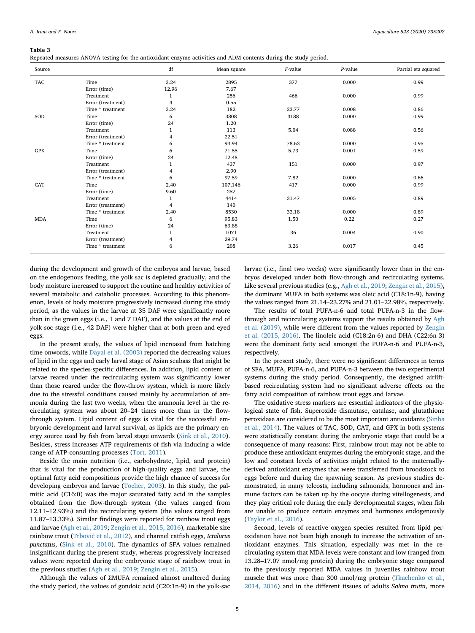#### <span id="page-4-0"></span>**Table 3**

Repeated measures ANOVA testing for the antioxidant enzyme activities and ADM contents during the study period.

| Source     |                   | df           | Mean square | $F$ -value | $P$ -value | Partial eta squared |
|------------|-------------------|--------------|-------------|------------|------------|---------------------|
| <b>TAC</b> | Time              | 3.24         | 2895        | 377        | 0.000      | 0.99                |
|            | Error (time)      | 12.96        | 7.67        |            |            |                     |
|            | Treatment         | $\mathbf{1}$ | 256         | 466        | 0.000      | 0.99                |
|            | Error (treatment) | 4            | 0.55        |            |            |                     |
|            | Time * treatment  | 3.24         | 182         | 23.77      | 0.008      | 0.86                |
| SOD        | Time              | 6            | 3808        | 3188       | 0.000      | 0.99                |
|            | Error (time)      | 24           | 1.20        |            |            |                     |
|            | Treatment         | 1            | 113         | 5.04       | 0.088      | 0.56                |
|            | Error (treatment) | 4            | 22.51       |            |            |                     |
|            | Time * treatment  | 6            | 93.94       | 78.63      | 0.000      | 0.95                |
| <b>GPX</b> | Time              | 6            | 71.55       | 5.73       | 0.001      | 0.59                |
|            | Error (time)      | 24           | 12.48       |            |            |                     |
|            | Treatment         | 1            | 437         | 151        | 0.000      | 0.97                |
|            | Error (treatment) | 4            | 2.90        |            |            |                     |
|            | Time * treatment  | 6            | 97.59       | 7.82       | 0.000      | 0.66                |
| CAT        | Time              | 2.40         | 107,146     | 417        | 0.000      | 0.99                |
|            | Error (time)      | 9.60         | 257         |            |            |                     |
|            | Treatment         | $\mathbf{1}$ | 4414        | 31.47      | 0.005      | 0.89                |
|            | Error (treatment) | 4            | 140         |            |            |                     |
|            | Time * treatment  | 2.40         | 8530        | 33.18      | 0.000      | 0.89                |
| <b>MDA</b> | Time              | 6            | 95.83       | 1.50       | 0.22       | 0.27                |
|            | Error (time)      | 24           | 63.88       |            |            |                     |
|            | Treatment         | $\mathbf{1}$ | 1071        | 36         | 0.004      | 0.90                |
|            | Error (treatment) | 4            | 29.74       |            |            |                     |
|            | Time * treatment  | 6            | 208         | 3.26       | 0.017      | 0.45                |

during the development and growth of the embryos and larvae, based on the endogenous feeding, the yolk sac is depleted gradually, and the body moisture increased to support the routine and healthy activities of several metabolic and catabolic processes. According to this phenomenon, levels of body moisture progressively increased during the study period, as the values in the larvae at 35 DAF were significantly more than in the green eggs (i.e., 1 and 7 DAF), and the values at the end of yolk-soc stage (i.e., 42 DAF) were higher than at both green and eyed eggs.

In the present study, the values of lipid increased from hatching time onwords, while [Dayal et al. \(2003\)](#page-6-11) reported the decreasing values of lipid in the eggs and early larval stage of Asian seabass that might be related to the species-specific differences. In addition, lipid content of larvae reared under the recirculating system was significantly lower than those reared under the flow-throw system, which is more likely due to the stressful conditions caused mainly by accumulation of ammonia during the last two weeks, when the ammonia level in the recirculating system was about 20–24 times more than in the flowthrough system. Lipid content of eggs is vital for the successful embryonic development and larval survival, as lipids are the primary energy source used by fish from larval stage onwards ([Sink et al., 2010](#page-6-12)). Besides, stress increases ATP requirements of fish via inducing a wide range of ATP-consuming processes [\(Tort, 2011](#page-6-4)).

Beside the main nutrition (i.e., carbohydrate, lipid, and protein) that is vital for the production of high-quality eggs and larvae, the optimal fatty acid compositions provide the high chance of success for developing embryos and larvae ([Tocher, 2003](#page-6-13)). In this study, the palmitic acid (C16:0) was the major saturated fatty acid in the samples obtained from the flow-through system (the values ranged from 12.11–12.93%) and the recirculating system (the values ranged from 11.87–13.33%). Similar findings were reported for rainbow trout eggs and larvae [\(Agh et al., 2019;](#page-6-14) [Zengin et al., 2015, 2016\)](#page-6-5), marketable size rainbow trout ([Trbović et al., 2012](#page-6-15)), and channel catfish eggs, *Ictalurus punctatus*, [\(Sink et al., 2010\)](#page-6-12). The dynamics of SFA values remained insignificant during the present study, whereas progressively increased values were reported during the embryonic stage of rainbow trout in the previous studies [\(Agh et al., 2019;](#page-6-14) [Zengin et al., 2015](#page-6-5)).

Although the values of ∑MUFA remained almost unaltered during the study period, the values of gondoic acid (C20:1n-9) in the yolk-sac

larvae (i.e., final two weeks) were significantly lower than in the embryos developed under both flow-through and recirculating systems. Like several previous studies (e.g., [Agh et al., 2019](#page-6-14); [Zengin et al., 2015](#page-6-5)), the dominant MUFA in both systems was oleic acid (C18:1n-9), having the values ranged from 21.14–23.27% and 21.01–22.98%, respectively.

The results of total PUFA-n-6 and total PUFA-n-3 in the flow-through and recirculating systems support the results obtained by [Agh](#page-6-14) [et al. \(2019\)](#page-6-14), while were different from the values reported by [Zengin](#page-6-5) [et al. \(2015, 2016\).](#page-6-5) The linoleic acid (C18:2n-6) and DHA (C22:6n-3) were the dominant fatty acid amongst the PUFA-n-6 and PUFA-n-3, respectively.

In the present study, there were no significant differences in terms of SFA, MUFA, PUFA-n-6, and PUFA-n-3 between the two experimental systems during the study period. Consequently, the designed airliftbased recirculating system had no significant adverse effects on the fatty acid composition of rainbow trout eggs and larvae.

The oxidative stress markers are essential indicators of the physiological state of fish. Superoxide dismutase, catalase, and glutathione peroxidase are considered to be the most important antioxidants ([Sinha](#page-6-3) [et al., 2014\)](#page-6-3). The values of TAC, SOD, CAT, and GPX in both systems were statistically constant during the embryonic stage that could be a consequence of many reasons: First, rainbow trout may not be able to produce these antioxidant enzymes during the embryonic stage, and the low and constant levels of activities might related to the maternallyderived antioxidant enzymes that were transferred from broodstock to eggs before and during the spawning season. As previous studies demonstrated, in many teleosts, including salmonids, hormones and immune factors can be taken up by the oocyte during vitellogenesis, and they play critical role during the early developmental stages, when fish are unable to produce certain enzymes and hormones endogenously ([Taylor et al., 2016\)](#page-6-16).

Second, levels of reactive oxygen species resulted from lipid peroxidation have not been high enough to increase the activation of antioxidant enzymes. This situation, especially was met in the recirculating system that MDA levels were constant and low (ranged from 13.28–17.07 nmol/mg protein) during the embryonic stage compared to the previously reported MDA values in juveniles rainbow trout muscle that was more than 300 nmol/mg protein ([Tkachenko et al.,](#page-6-17) [2014, 2016](#page-6-17)) and in the different tissues of adults *Salmo trutta*, more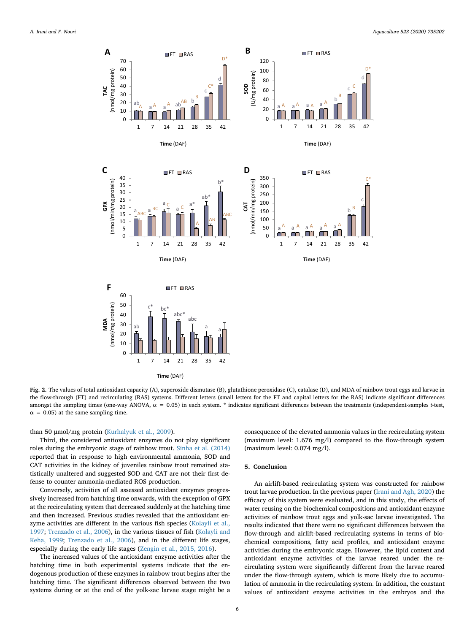<span id="page-5-0"></span>



**Fig. 2.** The values of total antioxidant capacity (A), superoxide dismutase (B), glutathione peroxidase (C), catalase (D), and MDA of rainbow trout eggs and larvae in the flow-through (FT) and recirculating (RAS) systems. Different letters (small letters for the FT and capital letters for the RAS) indicate significant differences amongst the sampling times (one-way ANOVA,  $\alpha = 0.05$ ) in each system. \* indicates significant differences between the treatments (independent-samples *t*-test,  $\alpha$  = 0.05) at the same sampling time.

than 50 μmol/mg protein [\(Kurhalyuk et al., 2009](#page-6-18)).

Third, the considered antioxidant enzymes do not play significant roles during the embryonic stage of rainbow trout. [Sinha et al. \(2014\)](#page-6-3) reported that in response to high environmental ammonia, SOD and CAT activities in the kidney of juveniles rainbow trout remained statistically unaltered and suggested SOD and CAT are not their first defense to counter ammonia-mediated ROS production.

Conversely, activities of all assessed antioxidant enzymes progressively increased from hatching time onwards, with the exception of GPX at the recirculating system that decreased suddenly at the hatching time and then increased. Previous studies revealed that the antioxidant enzyme activities are different in the various fish species [\(Kolayli et al.,](#page-6-19) [1997;](#page-6-19) [Trenzado et al., 2006\)](#page-6-20), in the various tissues of fish [\(Kolayli and](#page-6-0) [Keha, 1999](#page-6-0); [Trenzado et al., 2006\)](#page-6-20), and in the different life stages, especially during the early life stages ([Zengin et al., 2015, 2016](#page-6-5)).

The increased values of the antioxidant enzyme activities after the hatching time in both experimental systems indicate that the endogenous production of these enzymes in rainbow trout begins after the hatching time. The significant differences observed between the two systems during or at the end of the yolk-sac larvae stage might be a

consequence of the elevated ammonia values in the recirculating system (maximum level: 1.676 mg/l) compared to the flow-through system (maximum level: 0.074 mg/l).

### **5. Conclusion**

An airlift-based recirculating system was constructed for rainbow trout larvae production. In the previous paper ([Irani and Agh, 2020\)](#page-6-7) the efficacy of this system were evaluated, and in this study, the effects of water reusing on the biochemical compositions and antioxidant enzyme activities of rainbow trout eggs and yolk-sac larvae investigated. The results indicated that there were no significant differences between the flow-through and airlift-based recirculating systems in terms of biochemical compositions, fatty acid profiles, and antioxidant enzyme activities during the embryonic stage. However, the lipid content and antioxidant enzyme activities of the larvae reared under the recirculating system were significantly different from the larvae reared under the flow-through system, which is more likely due to accumulation of ammonia in the recirculating system. In addition, the constant values of antioxidant enzyme activities in the embryos and the